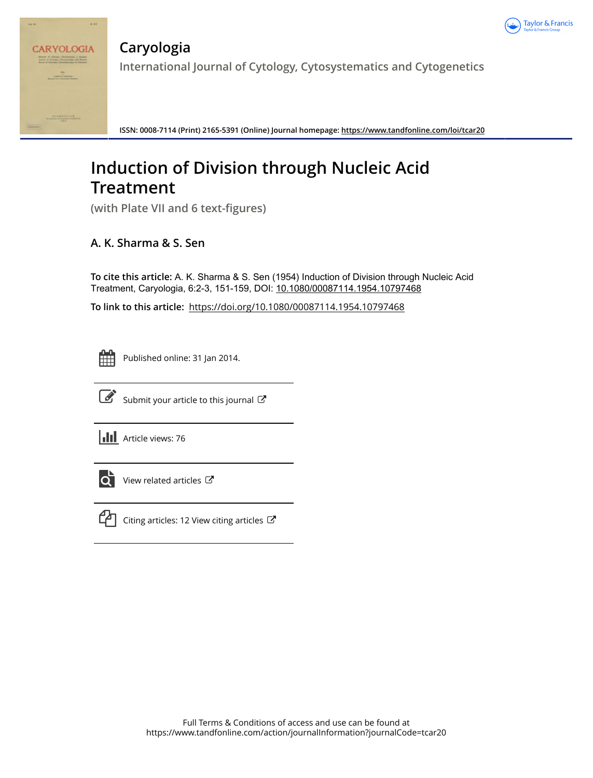



**Caryologia International Journal of Cytology, Cytosystematics and Cytogenetics**

**ISSN: 0008-7114 (Print) 2165-5391 (Online) Journal homepage:<https://www.tandfonline.com/loi/tcar20>**

# **Induction of Division through Nucleic Acid Treatment**

**(with Plate VII and 6 text-figures)**

## **A. K. Sharma & S. Sen**

**To cite this article:** A. K. Sharma & S. Sen (1954) Induction of Division through Nucleic Acid Treatment, Caryologia, 6:2-3, 151-159, DOI: [10.1080/00087114.1954.10797468](https://www.tandfonline.com/action/showCitFormats?doi=10.1080/00087114.1954.10797468)

**To link to this article:** <https://doi.org/10.1080/00087114.1954.10797468>



Published online: 31 Jan 2014.



 $\overrightarrow{S}$  [Submit your article to this journal](https://www.tandfonline.com/action/authorSubmission?journalCode=tcar20&show=instructions)  $\overrightarrow{S}$ 

**III** Article views: 76



 $\overrightarrow{O}$  [View related articles](https://www.tandfonline.com/doi/mlt/10.1080/00087114.1954.10797468)  $\overrightarrow{C}$ 



[Citing articles: 12 View citing articles](https://www.tandfonline.com/doi/citedby/10.1080/00087114.1954.10797468#tabModule)  $\mathbb{Z}$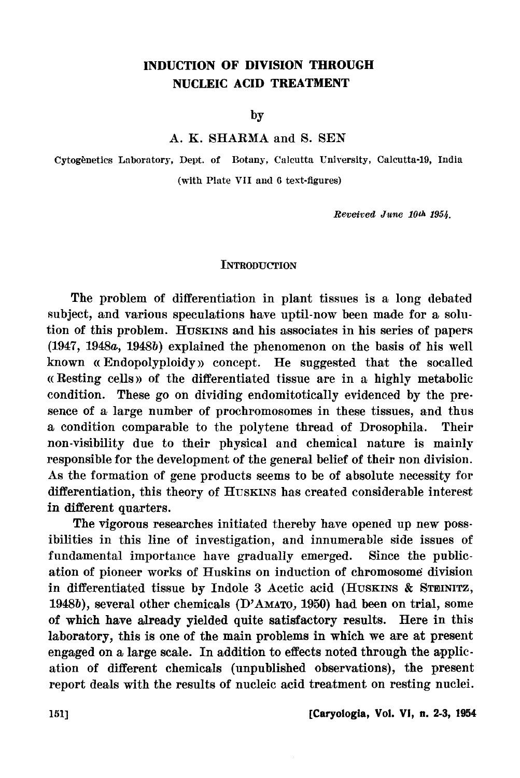### **INDUCTION OF DIVISION THROUGH NUCLEIC ACID TREATMENT**

by

A. K. SHARMA and S. SEN

Cytogènetics Laboratory, Dept. of Botany, Calcutta University, Calcutta-19, India (with Plate VII and 6 text-figures)

*Reveived Jttne 10th 1954.* 

### **INTRODUCTION**

The problem of differentiation in plant tissues is a long debated subject, and various speculations have uptil-now been made for a solution of this problem. HUSKINS and his associates in his series of papers  $(1947, 1948a, 1948b)$  explained the phenomenon on the basis of his well known « Endopolyploidy» concept. He suggested that the socalled «Resting cells» of the differentiated tissue are in a highly metabolic condition. These go on dividing endomitotically evidenced by the pre· sence of a large number of prochromosomes in these tissues, and thus a condition comparable to the polytene thread of Drosophila. Their non-visibility due to their physical and chemical nature is mainly responsible for the development of the general belief of their non division. As the formation of gene products seems to be of absolute necessity for differentiation, this theory of HusKINS has created considerable interest in different quarters.

The vigorous researches initiated thereby have opened up new possibilities in this line of investigation, and innumerable side issues of fundamental importance haye gradually emerged. Since the publication of pioneer works of Huskins on induction of chromosome division in differentiated tissue by Indole 3 Acetic acid (HuSKINS & STEINITZ, 1948b), several other chemicals (D'AMATO, 1950) had been on trial, some of which have already yielded quite satisfactory results. Here in this laboratory, this is one of the main problems in which we are at present engaged on a large scale. In addition to effects noted through the application of different chemicals (unpublished observations), the present report deals with the results of nucleic acid treatment on resting nuclei.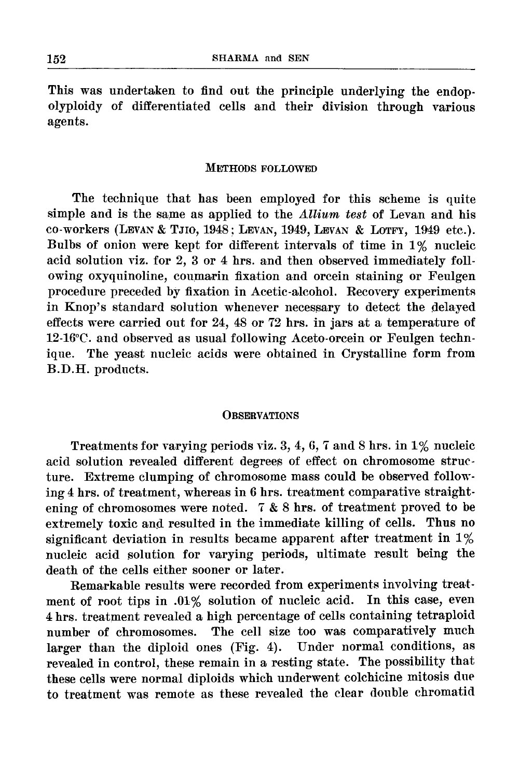This was undertaken to find out the principle underlying the endopolyploidy of differentiated cells and their division through various agents.

#### METHODS FOLLOWED

The technique that has been employed for this scheme is quite simple and is the same as applied to the *Allium test* of Levan and his co-workers (LEVAN & TJIO, 1948; LEVAN, 1949, LEVAN & LOTFY, 1949 etc.). Bulbs of onion were kept for different intervals of time in 1% nucleic acid solution viz. for 2, 3 or 4 hrs. and then observed immediately following oxyquinoline, coumarin fixation and orcein staining or Feulgen procedure preceded by fixation in Acetic-alcohol. Hecovery experiments in Knop's standard solution whenever necessary to detect the delayed effects were carried out for 24, 48 or 72 hrs. in jars at a temperature of 12-16°C. and observed as usual following Aceto-orcein or Feulgen technique. The yeast nucleic acids were obtained in Crystalline form from B.D.H. products.

#### **OBSERVATIONS**

Treatments for varying periods viz. 3, 4, G, 7 and 8 hrs. in 1% nucleic acid solution revealed different degrees of effect on chromosome structure. Extreme clumping of chromosome mass could be observed following 4 hrs. of treatment, whereas in 6 hrs. treatment comparative straightening of chromosomes were noted. 7 & 8 hrs. of treatment proved to be extremely toxic and resulted in the immediate killing of cells. Thus no significant deviation in results became apparent after treatment in 1% nucleic acid solution for varying periods, ultimate result being the death of the cells either sooner or later.

Hemarkable results were recorded from experiments involving treatment of root tips in .01% solution of nucleic acid. In this case, even 4 hrs. treatment revealed a high percentage of cells containing tetraploid number of chromosomes. 'The cell size too was comparatively much larger than the diploid ones (Fig. 4). Under normal conditions, as revealed in control, these remain in a resting state. The possibility that these cells were normal diploids which underwent colchicine mitosis due to treatment was remote as these revealed the clear double chromatid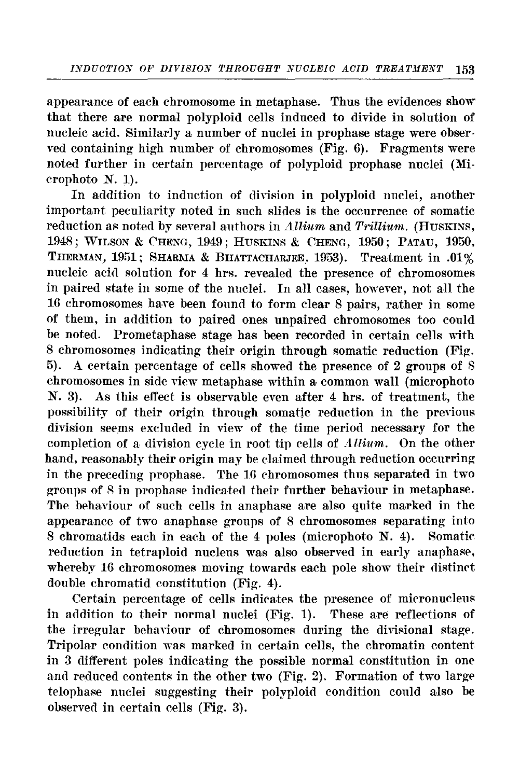appearance of each chromosome in metaphase. Thus the evidences show that there are normal polyploid cells induced to divide in solution of nucleic acid. Similarly a number of nuclei in prophase stage were observed containing high number of chromosomes (Fig. 6). Fragments were noted further in certain percentage of polyploid prophase nuclei (Microphoto N. 1).

In addition to induction of division in polyploid nuclei, another important peculiarity noted in such slides is the occurrence of somatic reduction as noted by several authors in *Allium* and *Trillium*. (HUSKINS, 1948; WILSON & CHENG, 1949; HUSKINS & CHENG, 1950; PATAU, 1950, THERMAN,  $1951$ ; SHARMA & BHATTACHARJEE,  $1953$ ). Treatment in .01% nueleic aeid solution for 4 hrs. revealed the presence of chromosomes in paired state in some of the nuclei. In all cases, however, not all the 16 chromosomes have been found to form clear 8 pairs, rather in some of them, in addition to paired ones unpaired chromosomes too could be noted. Prometaphase stage has been recorded in certain cells with 8 chromosomes indicating their origin through somatic reduction (Fig. 5). A certain percentage of cells showed the presence of 2 groups of 8 chromosomes in side view metaphase within a common wall (microphoto N. 3). As this effect is observable even after 4 hrs. of treatment, the possibility of their origin through somatic reduction in the previous division seems excluded in view of the time period necessary for the completion of a division cycle in root tip cells of *Allium.* On the other hand, reasonably their origin may be elaimed through reduction occurring in the preceding prophase. The  $16$  chromosomes thus separated in two groups of 8 in prophase indicated their further behaviour in metaphase. The behaviour of such cells in anaphase are also quite marked in the appearance of two anaphase groups of 8 chromosomes separating into 8 chromatids each in each of the 4 poles (microphoto N. 4). Romatic reduction in tetraploid nucleus was also observed in early anaphase, whereby 16 chromosomes moving towards each pole show their distinct double chromatid constitution (Fig. 4).

Certain percentage of cells indicates the presence of micronucleus in addition to their normal nuclei (Fig. 1). These are reflections of the irregular behaviour of chromosomes during the divisional stage. Tripolar condition was marked in certain cells, the chromatin content in 3 different poles indicating the possible normal constitution in one and reduced contents in the other two (Fig. 2). Formation of two large telophase nuclei suggesting their polyploid condition could also be observed in certain cells (Fig. 3).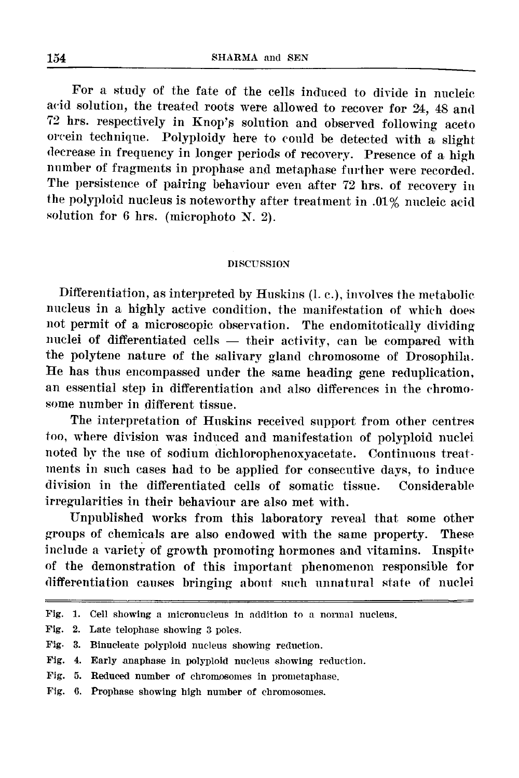For a study of the fate of the cells induced to divide in nucleic acid solution, the treated roots were allowed to recover for 24, 48 and 72 hrs. respectively in Knop's solution and observed following aceto orcein technique. Polyploidy here to eould be detected with a slight decrease in frequency in longer periods of recovery. Presence of a high mnnber of fragments in prophase and metaphase further were recorded. The persistence of pairing behaviour even after 72 hrs. of recovery in the polyploid nucleus is noteworthy after treatment in .01% nucleic acid solution for 6 hrs. (microphoto  $N. 2$ ).

#### DISCUSSION

Differentiation, as interpreted by Huskins  $(l, c)$ , involves the metabolic nucleus in a highly active condition, the manifestation of which does not permit of a microscopic observation. The endomitotically dividing nuclei of differentiated cells - their activity, can be compared with the polytene nature of the salivary gland chromosome of Drosophila. He has thus encompassed under the same heading gene reduplication, an essential step in differentiation and also differences in the chromosome number in different tissue.

The interpretation of Huskins received support from other centres too, where division was induced and manifestation of polyploid nuclei noted by the use of sodium dichlorophenoxyacetate. Continuous treatments in such cases had to be applied for consecutive days, to induce division in the differentiated cells of somatic tissue. Considerable irregularities in their behaviour are also met with.

Unpublished works from this laboratory reveal that some other groups of chemicals are also endowed with the same property. These include a variety of growth promoting hormones and vitamins. Inspite of the demonstration of this important phenomenon responsible for differentiation causes bringing about such unnatural state of nuclei

Fig. 1. Cell showing a micronueleus in addition to a normal nucleus.

Fig. 2. Late telophase showing 3 poles.

Fig. 3. Binucleate polyploid nucleus showing reduction.

Fig. 4. Early anaphase in polyploid nucleus showing reduction.

Fig. 5. Reduced number of chromosomes in prometaphase.

Fig. 6. Prophase showing high number of chromosomes.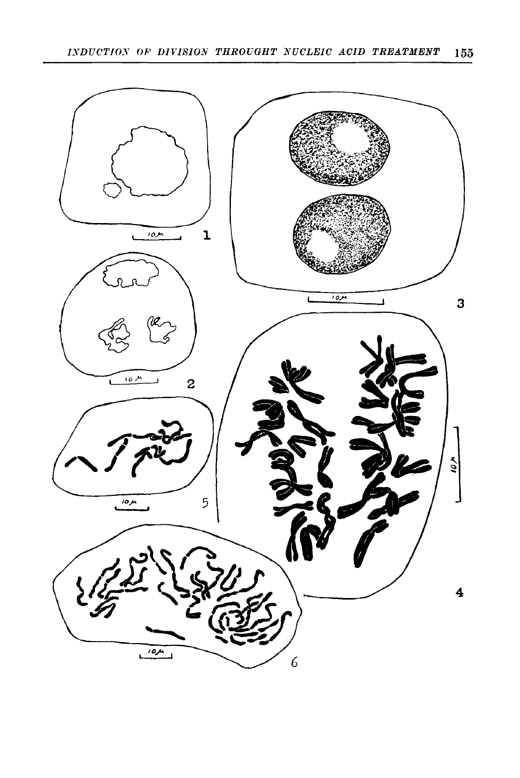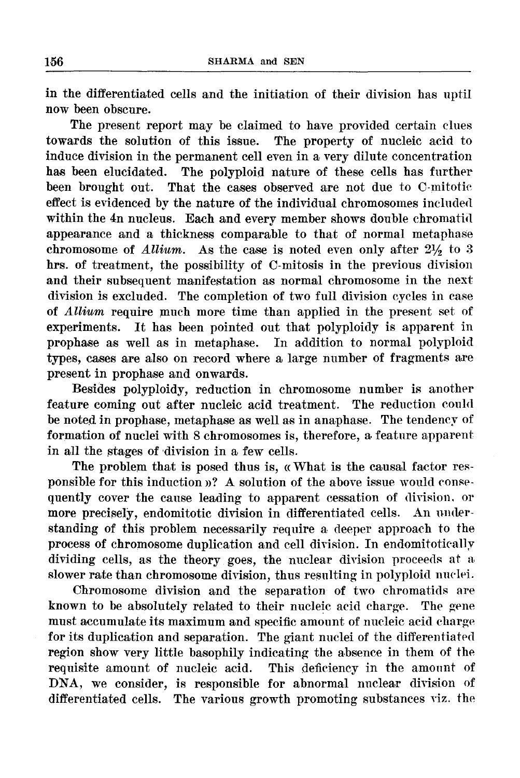in the differentiated cells and the initiation of their division has uptil now been obscure.

The present report may be claimed to have provided certain clues<br>ards the solution of this issue. The property of nucleic acid to towards the solution of this issue. induce division in the permanent cell even in a very dilute concentration has been elucidated. The polyploid nature of these cells has further been brought out. That the cases observed are not due to C-mitotic effect is evidenced by the nature of the individual chromosomes included within the 4n nucleus. Each and every member shows double chromatid appearance and a thickness comparable to that of normal metaphase chromosome of *Allium*. As the case is noted even only after  $2\frac{1}{2}$  to 3 hrs. of treatment, the possibility of C-mitosis in the previous division and their subsequent manifestation as normal chromosome in the next division is excluded. The completion of two full division cycles in case of *Allium* require much more time than applied in the present set of experiments. It has been pointed out that polyploidy is apparent in prophase as well as in metaphase. In addition to normal polyploid types, cases are also on record where a large number of fragments are present in prophase and onwards.

Besides polyploidy, reduction in chromosome number is another feature coming out after nucleic acid treatment. The reduction could be noted in prophase, metaphase as well as in anaphase. The tendency of formation of nuclei with 8 chromosomes is, therefore, a feature apparent in all the stages of division in a few cells.

The problem that is posed thus is, «What is the causal factor responsible for this induction  $\mathfrak{D}$ ? A solution of the above issue would consequently cover the cause leading to apparent cessation of division. or more precisely, endomitotic division in differentiated cells. An mulerstanding of this problem necessarily require a deeper approach to the process of chromosome duplication and cell division. In endomitotieally dividing cells, as the theory goes, the nuclear division proceeds at a. slower rate than chromosome division, thus resulting in polyploid nuclei.

Chromosome division and the separation of two chromatids are known to be absolutely related to their nucleic acid charge. The gene must accumulate its maximum and specific amount of nueleic acid charge for its duplication and separation. The giant nuclei of the differentiated region show very little basophily indicating the absence in them of the requisite amount of nucleic acid. This deficiency in the amount of DNA, we consider, is responsible for abnormal nuclear division of differentiated cells. The various growth promoting substances viz. the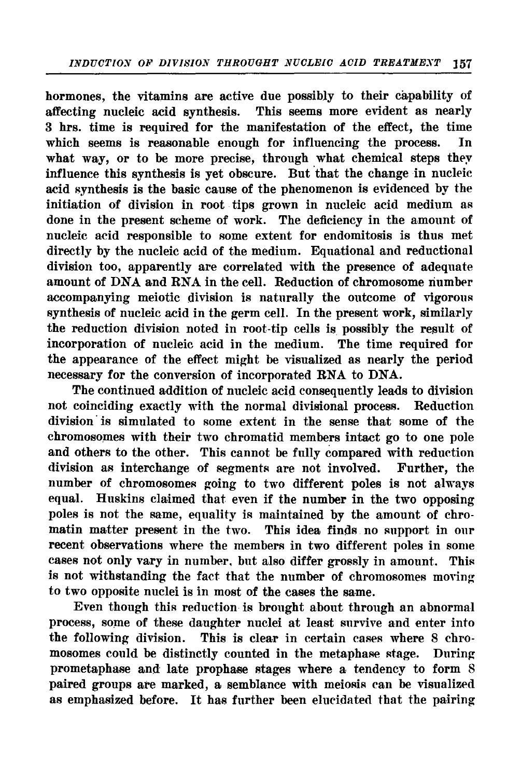hormones, the vitamins are active due possibly to their capability of affecting nucleic acid synthesis. This seems more evident as nearly 3 hrs. time is required for the manifestation of the effect, the time<br>which seems is reasonable enough for influencing the process. In which seems is reasonable enough for influencing the process. what way, or to be more precise, through what chemical steps they influence this synthesis is yet obscure. But that the change in nucleic acid synthesis is the basic cause of the phenomenon is evidenced by the initiation of division in root tips grown in nucleic acid medium as done in the present scheme of work. The deficiency in the amount of nucleic acid responsible to some extent for endomitosis is thus met directly by the nucleic acid of the medium. Equational and reductional division too, apparently are correlated with the presence of adequate amount of DNA and RNA in the cell. Reduction of chromosome riumber accompanying meiotic division is naturally the outcome of vigorous synthesis of nucleic acid in the germ cell. In the present work, similarly the reduction division noted in root-tip cells is possibly the result of incorporation of nucleic acid in the medium. The time required for the appearance of the effect might be visualized as nearly the period necessary for the conversion of incorporated RNA to DNA.

The continued addition of nucleic acid consequently leads to division not coinciding exactly with the normal divisional process. Reduction division is simulated to some extent in the sense that some of the chromosomes with their two chromatid members intact go to one pole and others to the other. This cannot be fully compared with reduction division as interchange of segments are not involved. Further, the number of chromosomes going to two different poles is not always equal. Huskins claimed that even if the number in the two opposing poles is not the same, equality is maintained by the amount of chromatin matter present in the two. This idea finds no support in our recent observations where the members in two different poles in some cases not only vary in number, but also differ grossly in amount. This is not withstanding the fact that the number of chromosomes moving to two opposite nuclei is in most of the cases the same.

Even though this reduction is brought about through an abnormal process, some of these daughter nuclei at least survive and enter into the following division. This is clear in certain cases where 8 chromosomes could be distinctly counted in the metaphase stage. During prometaphase and late prophase stages where a tendency to form 8 paired groups are marked, a semblance with meiosis can be visualized as emphasized before. It has further been elucidated that the pairing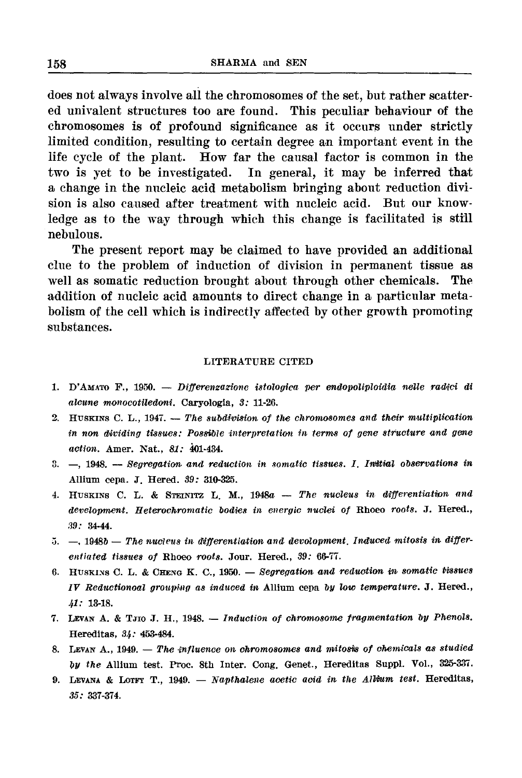does not always involve all the chromosomes of the set, but rather scattered univalent structures too are found. This peculiar behaviour of the chromosomes is of profound significance as it occurs under strictly limited condition, resulting to certain degree an important event in the life cycle of the plant. How far the causal factor is common in the two is yet to be investigated. In general, it may be inferred that a change in the nucleic acid metabolism bringing about reduction division is also caused after treatment with nucleic acid. But our knowledge as to the way through which this change is facilitated is still nebulous.

The present report may be claimed to have provided an additional clue to the problem of induction of division in permanent tissue as well as somatic reduction brought about through other chemicals. The addition of nucleic acid amounts to direct change in a particular metabolism of the cell which is indirectly affected by other growth promoting substances.

#### LITERATURE CITED

- 1. D' AMATO F., 1950. Differenzazione istologica per endopoliploidia neUe radici di alcune monocotiledoni. Caryologia, 3: 11-26.
- 2. HUSKINS C. L.,  $1947. The subdivision of the chromosomes and their multiplication$ in non dividing tissues: Possible interpretation in terms of gene structure and gene action. Amer. Nat., 81: 401-434.
- $3. -$ , 1948. -- Segregation and reduction in somatic tissues. I. Initial observations in Allium cepa. J. Hered. 39: 31Q-325.
- 4. HUSKINS C. L. & STEINITZ L. M., 1948a The nucleus in differentiation and development. Heterochromatic bodies in energic nuclei of Rhoeo roots. J. Hered., 89: 34-44.
- $5. \ \ -1.1948b The nucleus$  in differentiation and devolopment. Induced mitosis in differentiated tissues of Rhoeo roots. Jour. Hered., 39: 66-77.
- 6. HUSKINS C. L. & CHENG K. C., 1950. Segregation and reduction in somatic tissues IV Reductionoal grouping as induced in Allium cepa by low temperature. J. Hered., *.t,1:* 13-18.
- 7. LEVAN A. & TJIO J. H., 1948. Induction of chromosome fragmentation by Phenols. Hereditas, *34:* 453-484.
- 8. LEVAN A., 1949. The influence on chromosomes and mitosis of chemicals as studied W the Allium test. Proc. 8th Inter. Cong. Genet., Hereditas Suppl. Vol., 325-337.
- 9. LEVANA & LOTFY T., 1949.  $-$  Napthalene acetic acid in the Album test. Hereditas, *35:* 337-374.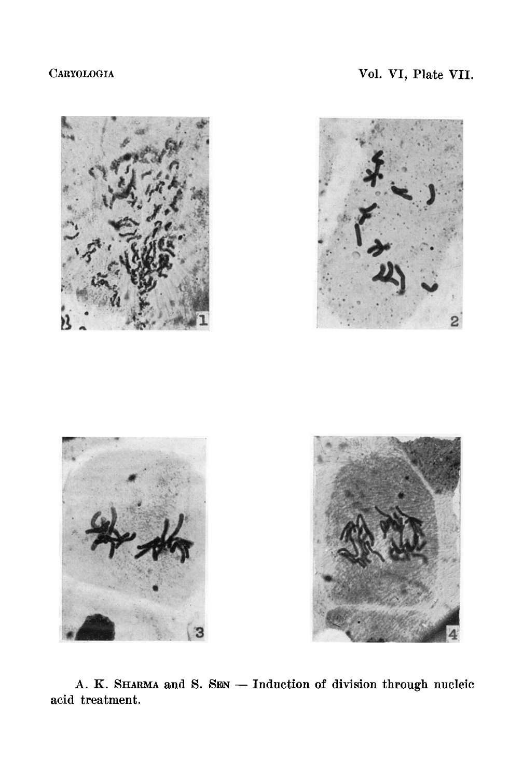CARYOLOGIA Vol. VI, Plate VII.



A. K. SHARMA and S. SEN - Induction of division through nucleic acid treatment.